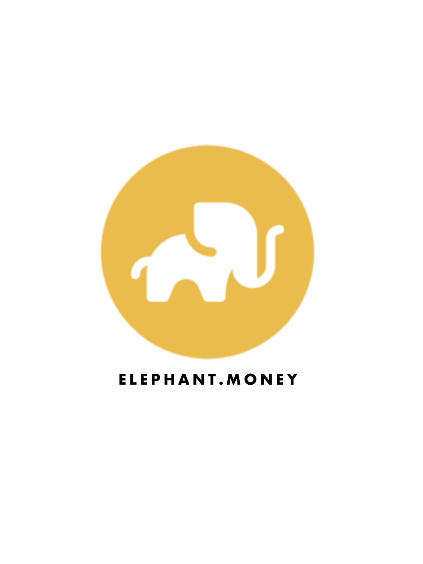

# **ELEPHANT.MONEY**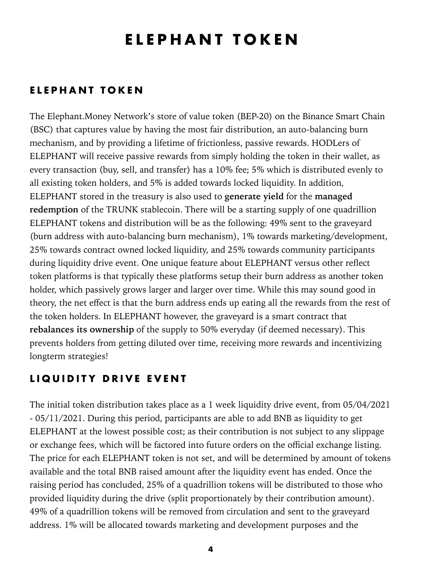# <span id="page-3-0"></span>**ELEPHANT TOKEN**

### <span id="page-3-1"></span>**ELEPHANT TOKEN**

The Elephant.Money Network's store of value token (BEP-20) on the Binance Smart Chain (BSC) that captures value by having the most fair distribution, an auto-balancing burn mechanism, and by providing a lifetime of frictionless, passive rewards. HODLers of ELEPHANT will receive passive rewards from simply holding the token in their wallet, as every transaction (buy, sell, and transfer) has a 10% fee; 5% which is distributed evenly to all existing token holders, and 5% is added towards locked liquidity. In addition, ELEPHANT stored in the treasury is also used to **generate yield** for the **managed redemption** of the TRUNK stablecoin. There will be a starting supply of one quadrillion ELEPHANT tokens and distribution will be as the following: 49% sent to the graveyard (burn address with auto-balancing burn mechanism), 1% towards marketing/development, 25% towards contract owned locked liquidity, and 25% towards community participants during liquidity drive event. One unique feature about ELEPHANT versus other reflect token platforms is that typically these platforms setup their burn address as another token holder, which passively grows larger and larger over time. While this may sound good in theory, the net effect is that the burn address ends up eating all the rewards from the rest of the token holders. In ELEPHANT however, the graveyard is a smart contract that **rebalances its ownership** of the supply to 50% everyday (if deemed necessary). This prevents holders from getting diluted over time, receiving more rewards and incentivizing longterm strategies!

### <span id="page-3-2"></span>**LIQUIDITY DRIVE EVENT**

The initial token distribution takes place as a 1 week liquidity drive event, from 05/04/2021 - 05/11/2021. During this period, participants are able to add BNB as liquidity to get ELEPHANT at the lowest possible cost; as their contribution is not subject to any slippage or exchange fees, which will be factored into future orders on the official exchange listing. The price for each ELEPHANT token is not set, and will be determined by amount of tokens available and the total BNB raised amount after the liquidity event has ended. Once the raising period has concluded, 25% of a quadrillion tokens will be distributed to those who provided liquidity during the drive (split proportionately by their contribution amount). 49% of a quadrillion tokens will be removed from circulation and sent to the graveyard address. 1% will be allocated towards marketing and development purposes and the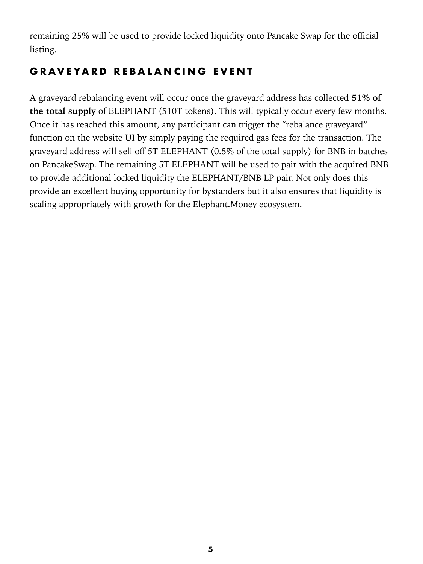remaining 25% will be used to provide locked liquidity onto Pancake Swap for the official listing.

### <span id="page-4-0"></span>**GRAVEYARD REBALANCING EVENT**

A graveyard rebalancing event will occur once the graveyard address has collected **51% of the total supply** of ELEPHANT (510T tokens). This will typically occur every few months. Once it has reached this amount, any participant can trigger the "rebalance graveyard" function on the website UI by simply paying the required gas fees for the transaction. The graveyard address will sell off 5T ELEPHANT (0.5% of the total supply) for BNB in batches on PancakeSwap. The remaining 5T ELEPHANT will be used to pair with the acquired BNB to provide additional locked liquidity the ELEPHANT/BNB LP pair. Not only does this provide an excellent buying opportunity for bystanders but it also ensures that liquidity is scaling appropriately with growth for the Elephant. Money ecosystem.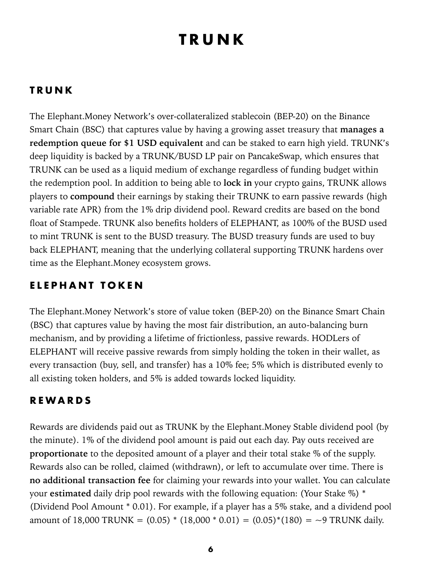# <span id="page-5-0"></span>**TRUNK**

### <span id="page-5-1"></span>**TRUNK**

The Elephant.Money Network's over-collateralized stablecoin (BEP-20) on the Binance Smart Chain (BSC) that captures value by having a growing asset treasury that **manages a redemption queue for \$1 USD equivalent** and can be staked to earn high yield. TRUNK's deep liquidity is backed by a TRUNK/BUSD LP pair on PancakeSwap, which ensures that TRUNK can be used as a liquid medium of exchange regardless of funding budget within the redemption pool. In addition to being able to **lock in** your crypto gains, TRUNK allows players to **compound** their earnings by staking their TRUNK to earn passive rewards (high variable rate APR) from the 1% drip dividend pool. Reward credits are based on the bond float of Stampede. TRUNK also benefits holders of ELEPHANT, as 100% of the BUSD used to mint TRUNK is sent to the BUSD treasury. The BUSD treasury funds are used to buy back ELEPHANT, meaning that the underlying collateral supporting TRUNK hardens over time as the Elephant.Money ecosystem grows.

### <span id="page-5-2"></span>**ELEPHANT TOKEN**

The Elephant.Money Network's store of value token (BEP-20) on the Binance Smart Chain (BSC) that captures value by having the most fair distribution, an auto-balancing burn mechanism, and by providing a lifetime of frictionless, passive rewards. HODLers of ELEPHANT will receive passive rewards from simply holding the token in their wallet, as every transaction (buy, sell, and transfer) has a 10% fee; 5% which is distributed evenly to all existing token holders, and 5% is added towards locked liquidity.

### <span id="page-5-3"></span>**REWARDS**

Rewards are dividends paid out as TRUNK by the Elephant.Money Stable dividend pool (by the minute). 1% of the dividend pool amount is paid out each day. Pay outs received are **proportionate** to the deposited amount of a player and their total stake % of the supply. Rewards also can be rolled, claimed (withdrawn), or left to accumulate over time. There is **no additional transaction fee** for claiming your rewards into your wallet. You can calculate your **estimated** daily drip pool rewards with the following equation: (Your Stake %) \* (Dividend Pool Amount \* 0.01). For example, if a player has a 5% stake, and a dividend pool amount of 18,000 TRUNK =  $(0.05) * (18,000 * 0.01) = (0.05) * (180) = -9$  TRUNK daily.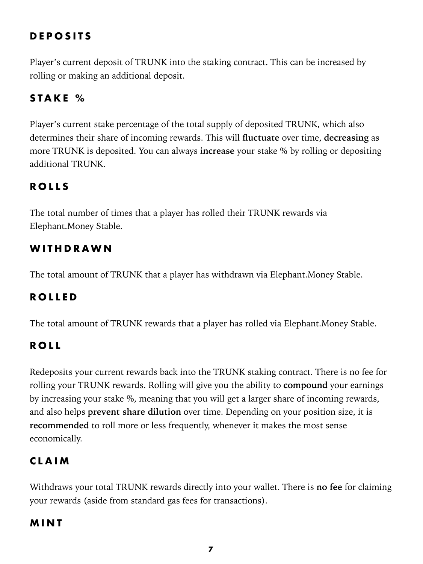### <span id="page-6-0"></span>**DEPOSITS**

Player's current deposit of TRUNK into the staking contract. This can be increased by rolling or making an additional deposit.

#### <span id="page-6-1"></span>**STAKE %**

Player's current stake percentage of the total supply of deposited TRUNK, which also determines their share of incoming rewards. This will **fluctuate** over time, **decreasing** as more TRUNK is deposited. You can always **increase** your stake % by rolling or depositing additional TRUNK.

#### <span id="page-6-2"></span>**ROLLS**

The total number of times that a player has rolled their TRUNK rewards via Elephant.Money Stable.

#### <span id="page-6-3"></span>**WITHDRAWN**

The total amount of TRUNK that a player has withdrawn via Elephant.Money Stable.

#### <span id="page-6-4"></span>**ROLLED**

The total amount of TRUNK rewards that a player has rolled via Elephant. Money Stable.

#### <span id="page-6-5"></span>**ROLL**

Redeposits your current rewards back into the TRUNK staking contract. There is no fee for rolling your TRUNK rewards. Rolling will give you the ability to **compound** your earnings by increasing your stake %, meaning that you will get a larger share of incoming rewards, and also helps **prevent share dilution** over time. Depending on your position size, it is **recommended** to roll more or less frequently, whenever it makes the most sense economically.

#### <span id="page-6-6"></span>**CLAIM**

Withdraws your total TRUNK rewards directly into your wallet. There is **no fee** for claiming your rewards (aside from standard gas fees for transactions).

#### <span id="page-6-7"></span>**MINT**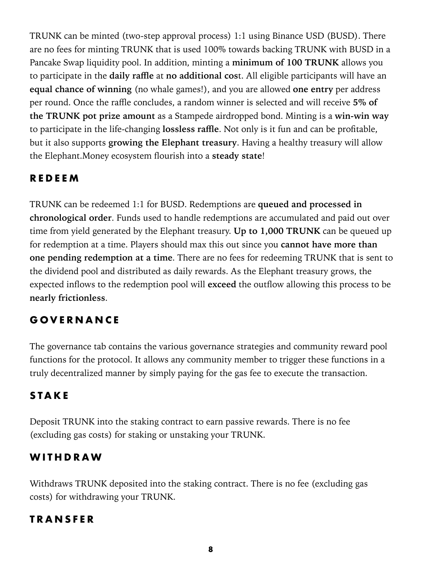TRUNK can be minted (two-step approval process) 1:1 using Binance USD (BUSD). There are no fees for minting TRUNK that is used 100% towards backing TRUNK with BUSD in a Pancake Swap liquidity pool. In addition, minting a **minimum of 100 TRUNK** allows you to participate in the **daily raffle** at **no additional cos**t. All eligible participants will have an **equal chance of winning** (no whale games!), and you are allowed **one entry** per address per round. Once the raffle concludes, a random winner is selected and will receive **5% of the TRUNK pot prize amount** as a Stampede airdropped bond. Minting is a **win-win way** to participate in the life-changing **lossless raffle**. Not only is it fun and can be profitable, but it also supports **growing the Elephant treasury**. Having a healthy treasury will allow the Elephant.Money ecosystem flourish into a **steady state**!

### <span id="page-7-0"></span>**REDEEM**

TRUNK can be redeemed 1:1 for BUSD. Redemptions are **queued and processed in chronological order**. Funds used to handle redemptions are accumulated and paid out over time from yield generated by the Elephant treasury. **Up to 1,000 TRUNK** can be queued up for redemption at a time. Players should max this out since you **cannot have more than one pending redemption at a time**. There are no fees for redeeming TRUNK that is sent to the dividend pool and distributed as daily rewards. As the Elephant treasury grows, the expected inflows to the redemption pool will **exceed** the outflow allowing this process to be **nearly frictionless**.5

### <span id="page-7-1"></span>**GOVERNANCE**

The governance tab contains the various governance strategies and community reward pool functions for the protocol. It allows any community member to trigger these functions in a truly decentralized manner by simply paying for the gas fee to execute the transaction.

### <span id="page-7-2"></span>**STAKE**

Deposit TRUNK into the staking contract to earn passive rewards. There is no fee (excluding gas costs) for staking or unstaking your TRUNK.

### <span id="page-7-3"></span>**WITHDRAW**

Withdraws TRUNK deposited into the staking contract. There is no fee (excluding gas costs) for withdrawing your TRUNK.

### <span id="page-7-4"></span>**TRANSFER**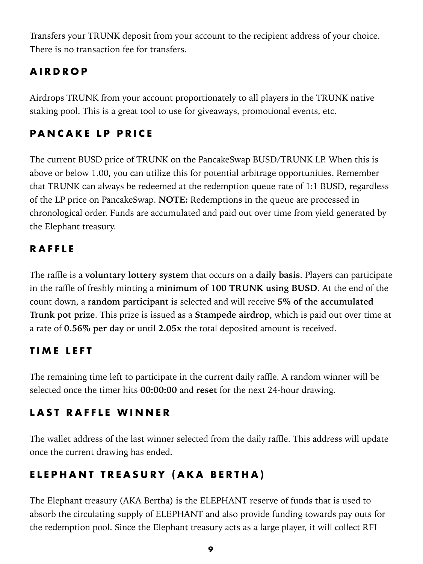Transfers your TRUNK deposit from your account to the recipient address of your choice. There is no transaction fee for transfers.

### <span id="page-8-0"></span>**AIRDROP**

Airdrops TRUNK from your account proportionately to all players in the TRUNK native staking pool. This is a great tool to use for giveaways, promotional events, etc.

## <span id="page-8-1"></span>**PANCAKE LP PRICE**

The current BUSD price of TRUNK on the PancakeSwap BUSD/TRUNK LP. When this is above or below 1.00, you can utilize this for potential arbitrage opportunities. Remember that TRUNK can always be redeemed at the redemption queue rate of 1:1 BUSD, regardless of the LP price on PancakeSwap. **NOTE:** Redemptions in the queue are processed in chronological order. Funds are accumulated and paid out over time from yield generated by the Elephant treasury.

### <span id="page-8-2"></span>**RAFFLE**

The raffle is a **voluntary lottery system** that occurs on a **daily basis**. Players can participate in the raffle of freshly minting a **minimum of 100 TRUNK using BUSD**. At the end of the count down, a **random participant** is selected and will receive **5% of the accumulated Trunk pot prize**. This prize is issued as a **Stampede airdrop**, which is paid out over time at a rate of **0.56% per day** or until **2.05x** the total deposited amount is received.6

### <span id="page-8-3"></span>**TIME LEFT**

The remaining time left to participate in the current daily raffle. A random winner will be selected once the timer hits **00:00:00** and **reset** for the next 24-hour drawing.

### <span id="page-8-4"></span>**LAST RAFFLE WINNER**

The wallet address of the last winner selected from the daily raffle. This address will update once the current drawing has ended.

### <span id="page-8-5"></span>**ELEPHANT TREASURY (AKA BERTHA)**

The Elephant treasury (AKA Bertha) is the ELEPHANT reserve of funds that is used to absorb the circulating supply of ELEPHANT and also provide funding towards pay outs for the redemption pool. Since the Elephant treasury acts as a large player, it will collect RFI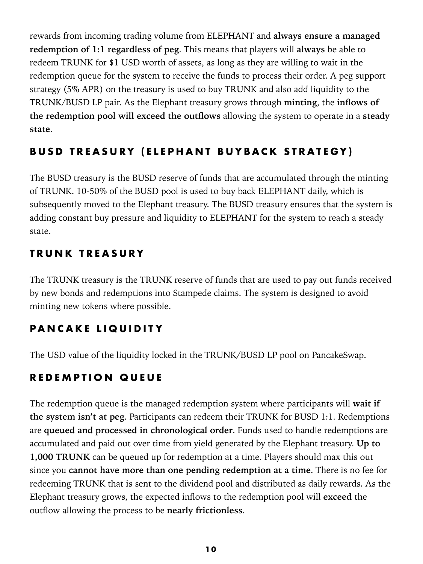rewards from incoming trading volume from ELEPHANT and **always ensure a managed redemption of 1:1 regardless of peg**. This means that players will **always** be able to redeem TRUNK for \$1 USD worth of assets, as long as they are willing to wait in the redemption queue for the system to receive the funds to process their order. A peg support strategy (5% APR) on the treasury is used to buy TRUNK and also add liquidity to the TRUNK/BUSD LP pair. As the Elephant treasury grows through **minting**, the **inflows of the redemption pool will exceed the outflows** allowing the system to operate in a **steady state**.

### <span id="page-9-0"></span>**BUSD TREASURY (ELEPHANT BUYBACK STRATEGY)**

The BUSD treasury is the BUSD reserve of funds that are accumulated through the minting of TRUNK. 10-50% of the BUSD pool is used to buy back ELEPHANT daily, which is subsequently moved to the Elephant treasury. The BUSD treasury ensures that the system is adding constant buy pressure and liquidity to ELEPHANT for the system to reach a steady state.

### <span id="page-9-1"></span>**TRUNK TREASURY**

The TRUNK treasury is the TRUNK reserve of funds that are used to pay out funds received by new bonds and redemptions into Stampede claims. The system is designed to avoid minting new tokens where possible.

# <span id="page-9-2"></span>**PANCAKE LIQUIDITY**

The USD value of the liquidity locked in the TRUNK/BUSD LP pool on PancakeSwap.

# <span id="page-9-3"></span>**REDEMPTION QUEUE**

The redemption queue is the managed redemption system where participants will **wait if the system isn't at peg**. Participants can redeem their TRUNK for BUSD 1:1. Redemptions are **queued and processed in chronological order**. Funds used to handle redemptions are accumulated and paid out over time from yield generated by the Elephant treasury. **Up to 1,000 TRUNK** can be queued up for redemption at a time. Players should max this out since you **cannot have more than one pending redemption at a time**. There is no fee for redeeming TRUNK that is sent to the dividend pool and distributed as daily rewards. As the Elephant treasury grows, the expected inflows to the redemption pool will **exceed** the outflow allowing the process to be **nearly frictionless**.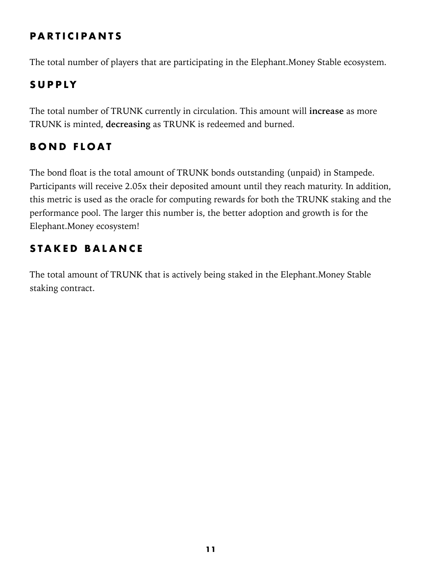### <span id="page-10-0"></span>**PARTICIPANTS**

The total number of players that are participating in the Elephant.Money Stable ecosystem.

## <span id="page-10-1"></span>**SUPPLY**

The total number of TRUNK currently in circulation. This amount will **increase** as more TRUNK is minted, **decreasing** as TRUNK is redeemed and burned.

# <span id="page-10-2"></span>**BOND FLOAT**

The bond float is the total amount of TRUNK bonds outstanding (unpaid) in Stampede. Participants will receive 2.05x their deposited amount until they reach maturity. In addition, this metric is used as the oracle for computing rewards for both the TRUNK staking and the performance pool. The larger this number is, the better adoption and growth is for the Elephant.Money ecosystem!

## <span id="page-10-3"></span>**STAKED BALANCE**

The total amount of TRUNK that is actively being staked in the Elephant.Money Stable staking contract.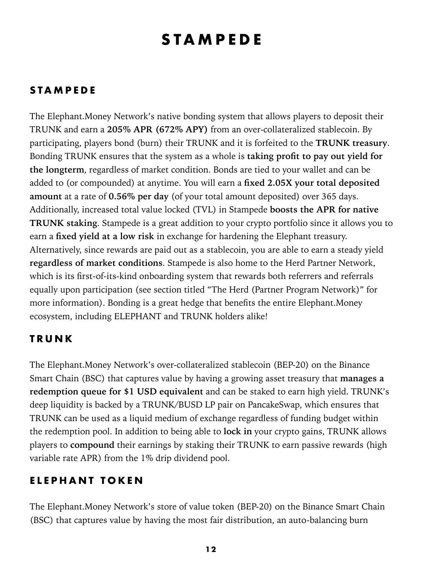# <span id="page-11-0"></span>**STAMPEDE**

### <span id="page-11-1"></span>**STAMPEDE**

The Elephant.Money Network's native bonding system that allows players to deposit their TRUNK and earn a **205% APR (672% APY)** from an over-collateralized stablecoin. By participating, players bond (burn) their TRUNK and it is forfeited to the **TRUNK treasury**. Bonding TRUNK ensures that the system as a whole is **taking profit to pay out yield for the longterm**, regardless of market condition. Bonds are tied to your wallet and can be added to (or compounded) at anytime. You will earn a **fixed 2.05X your total deposited amount** at a rate of **0.56% per day** (of your total amount deposited) over 365 days. Additionally, increased total value locked (TVL) in Stampede **boosts the APR for native TRUNK staking**. Stampede is a great addition to your crypto portfolio since it allows you to earn a **fixed yield at a low risk** in exchange for hardening the Elephant treasury. Alternatively, since rewards are paid out as a stablecoin, you are able to earn a steady yield **regardless of market conditions**. Stampede is also home to the Herd Partner Network, which is its first-of-its-kind onboarding system that rewards both referrers and referrals equally upon participation (see section titled "The Herd (Partner Program Network)" for more information). Bonding is a great hedge that benefits the entire Elephant.Money ecosystem, including ELEPHANT and TRUNK holders alike!

#### <span id="page-11-2"></span>**TRUNK**

The Elephant.Money Network's over-collateralized stablecoin (BEP-20) on the Binance Smart Chain (BSC) that captures value by having a growing asset treasury that **manages a redemption queue for \$1 USD equivalent** and can be staked to earn high yield. TRUNK's deep liquidity is backed by a TRUNK/BUSD LP pair on PancakeSwap, which ensures that TRUNK can be used as a liquid medium of exchange regardless of funding budget within the redemption pool. In addition to being able to **lock in** your crypto gains, TRUNK allows players to **compound** their earnings by staking their TRUNK to earn passive rewards (high variable rate APR) from the 1% drip dividend pool.

### <span id="page-11-3"></span>**ELEPHANT TOKEN**

The Elephant.Money Network's store of value token (BEP-20) on the Binance Smart Chain (BSC) that captures value by having the most fair distribution, an auto-balancing burn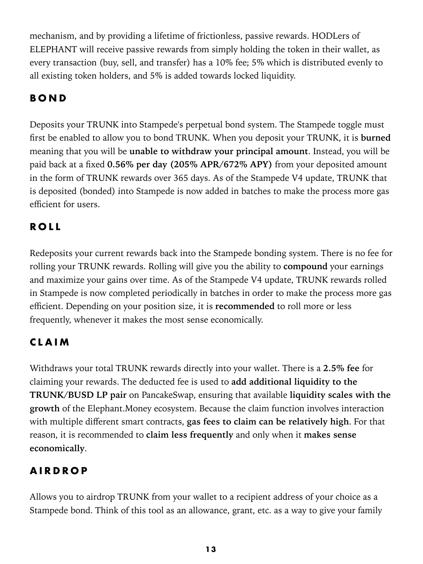mechanism, and by providing a lifetime of frictionless, passive rewards. HODLers of ELEPHANT will receive passive rewards from simply holding the token in their wallet, as every transaction (buy, sell, and transfer) has a 10% fee; 5% which is distributed evenly to all existing token holders, and 5% is added towards locked liquidity.

# <span id="page-12-0"></span>**BOND**

Deposits your TRUNK into Stampede's perpetual bond system. The Stampede toggle must first be enabled to allow you to bond TRUNK. When you deposit your TRUNK, it is **burned** meaning that you will be **unable to withdraw your principal amount**. Instead, you will be paid back at a fixed **0.56% per day (205% APR/672% APY)** from your deposited amount in the form of TRUNK rewards over 365 days. As of the Stampede V4 update, TRUNK that is deposited (bonded) into Stampede is now added in batches to make the process more gas efficient for users.

# <span id="page-12-1"></span>**ROLL**

Redeposits your current rewards back into the Stampede bonding system. There is no fee for rolling your TRUNK rewards. Rolling will give you the ability to **compound** your earnings and maximize your gains over time. As of the Stampede V4 update, TRUNK rewards rolled in Stampede is now completed periodically in batches in order to make the process more gas efficient. Depending on your position size, it is **recommended** to roll more or less frequently, whenever it makes the most sense economically.

### <span id="page-12-2"></span>**CLAIM**

Withdraws your total TRUNK rewards directly into your wallet. There is a **2.5% fee** for claiming your rewards. The deducted fee is used to **add additional liquidity to the TRUNK/BUSD LP pair** on PancakeSwap, ensuring that available **liquidity scales with the growth** of the Elephant.Money ecosystem. Because the claim function involves interaction with multiple different smart contracts, **gas fees to claim can be relatively high**. For that reason, it is recommended to **claim less frequently** and only when it **makes sense**  economically.

# <span id="page-12-3"></span>**AIRDROP**

Allows you to airdrop TRUNK from your wallet to a recipient address of your choice as a Stampede bond. Think of this tool as an allowance, grant, etc. as a way to give your family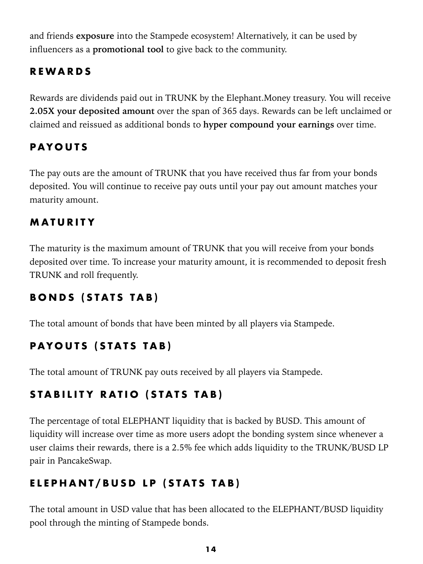and friends **exposure** into the Stampede ecosystem! Alternatively, it can be used by influencers as a **promotional tool** to give back to the community.

### <span id="page-13-0"></span>**REWARDS**

Rewards are dividends paid out in TRUNK by the Elephant.Money treasury. You will receive **2.05X your deposited amount** over the span of 365 days. Rewards can be left unclaimed or claimed and reissued as additional bonds to **hyper compound your earnings** over time.

### <span id="page-13-1"></span>**PAYOUTS**

The pay outs are the amount of TRUNK that you have received thus far from your bonds deposited. You will continue to receive pay outs until your pay out amount matches your maturity amount.

### <span id="page-13-2"></span>**MATURITY**

The maturity is the maximum amount of TRUNK that you will receive from your bonds deposited over time. To increase your maturity amount, it is recommended to deposit fresh TRUNK and roll frequently.

# <span id="page-13-3"></span>**BONDS (STATS TAB)**

The total amount of bonds that have been minted by all players via Stampede.

# <span id="page-13-4"></span>**PAYOUTS (STATS TAB)**

The total amount of TRUNK pay outs received by all players via Stampede.

# <span id="page-13-5"></span>**STABILITY RATIO (STATS TAB)**

The percentage of total ELEPHANT liquidity that is backed by BUSD. This amount of liquidity will increase over time as more users adopt the bonding system since whenever a user claims their rewards, there is a 2.5% fee which adds liquidity to the TRUNK/BUSD LP pair in PancakeSwap.11

# <span id="page-13-6"></span>**ELEPHANT/BUSD LP (STATS TAB)**

The total amount in USD value that has been allocated to the ELEPHANT/BUSD liquidity pool through the minting of Stampede bonds.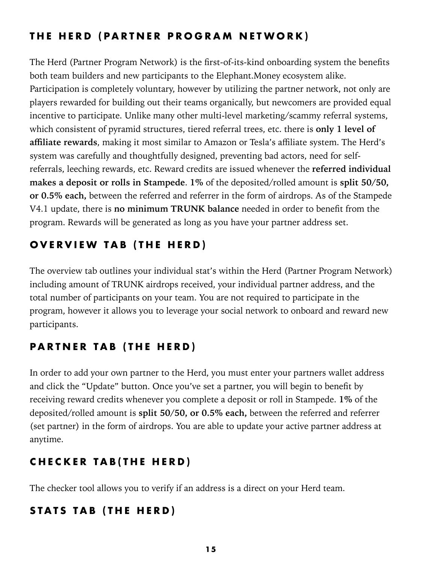## <span id="page-14-0"></span>**THE HERD (PARTNER PROGRAM NETWORK)**

The Herd (Partner Program Network) is the first-of-its-kind onboarding system the benefits both team builders and new participants to the Elephant.Money ecosystem alike. Participation is completely voluntary, however by utilizing the partner network, not only are players rewarded for building out their teams organically, but newcomers are provided equal incentive to participate. Unlike many other multi-level marketing/scammy referral systems, which consistent of pyramid structures, tiered referral trees, etc. there is **only 1 level of affiliate rewards**, making it most similar to Amazon or Tesla's affiliate system. The Herd's system was carefully and thoughtfully designed, preventing bad actors, need for selfreferrals, leeching rewards, etc. Reward credits are issued whenever the **referred individual makes a deposit or rolls in Stampede**. **1%** of the deposited/rolled amount is **split 50/50, or 0.5% each,** between the referred and referrer in the form of airdrops. As of the Stampede V4.1 update, there is **no minimum TRUNK balance** needed in order to benefit from the program. Rewards will be generated as long as you have your partner address set.

## <span id="page-14-1"></span>**OVERVIEW TAB (THE HERD)**

The overview tab outlines your individual stat's within the Herd (Partner Program Network) including amount of TRUNK airdrops received, your individual partner address, and the total number of participants on your team. You are not required to participate in the program, however it allows you to leverage your social network to onboard and reward new participants.

# <span id="page-14-2"></span>**PARTNER TAB (THE HERD)**

In order to add your own partner to the Herd, you must enter your partners wallet address and click the "Update" button. Once you've set a partner, you will begin to benefit by receiving reward credits whenever you complete a deposit or roll in Stampede. **1%** of the deposited/rolled amount is **split 50/50, or 0.5% each,** between the referred and referrer (set partner) in the form of airdrops. You are able to update your active partner address at anytime.

# <span id="page-14-3"></span>**CHECKER TAB(THE HERD)**

The checker tool allows you to verify if an address is a direct on your Herd team.

### <span id="page-14-4"></span>**STATS TAB (THE HERD)**